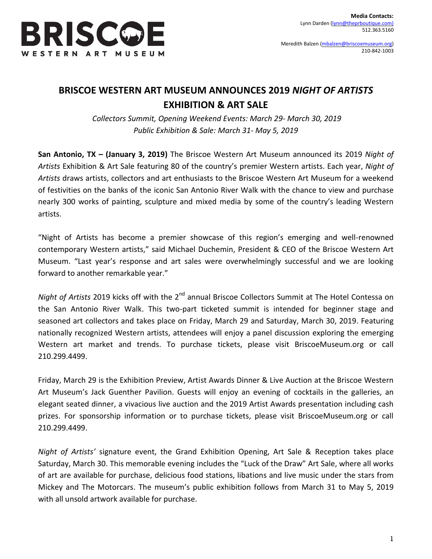

Meredith Balzen [\(mbalzen@briscoemuseum.org\)](mailto:mbalzen@briscoemuseum.org) 210-842-1003

## **BRISCOE WESTERN ART MUSEUM ANNOUNCES 2019** *NIGHT OF ARTISTS* **EXHIBITION & ART SALE**

*Collectors Summit, Opening Weekend Events: March 29- March 30, 2019 Public Exhibition & Sale: March 31- May 5, 2019*

**San Antonio, TX – (January 3, 2019)** The Briscoe Western Art Museum announced its 2019 *Night of Artists* Exhibition & Art Sale featuring 80 of the country's premier Western artists. Each year, *Night of Artists* draws artists, collectors and art enthusiasts to the Briscoe Western Art Museum for a weekend of festivities on the banks of the iconic San Antonio River Walk with the chance to view and purchase nearly 300 works of painting, sculpture and mixed media by some of the country's leading Western artists.

"Night of Artists has become a premier showcase of this region's emerging and well-renowned contemporary Western artists," said Michael Duchemin, President & CEO of the Briscoe Western Art Museum. "Last year's response and art sales were overwhelmingly successful and we are looking forward to another remarkable year."

Night of Artists 2019 kicks off with the 2<sup>nd</sup> annual Briscoe Collectors Summit at The Hotel Contessa on the San Antonio River Walk. This two-part ticketed summit is intended for beginner stage and seasoned art collectors and takes place on Friday, March 29 and Saturday, March 30, 2019. Featuring nationally recognized Western artists, attendees will enjoy a panel discussion exploring the emerging Western art market and trends. To purchase tickets, please visit BriscoeMuseum.org or call 210.299.4499.

Friday, March 29 is the Exhibition Preview, Artist Awards Dinner & Live Auction at the Briscoe Western Art Museum's Jack Guenther Pavilion. Guests will enjoy an evening of cocktails in the galleries, an elegant seated dinner, a vivacious live auction and the 2019 Artist Awards presentation including cash prizes. For sponsorship information or to purchase tickets, please visit BriscoeMuseum.org or call 210.299.4499.

*Night of Artists'* signature event, the Grand Exhibition Opening, Art Sale & Reception takes place Saturday, March 30. This memorable evening includes the "Luck of the Draw" Art Sale, where all works of art are available for purchase, delicious food stations, libations and live music under the stars from Mickey and The Motorcars. The museum's public exhibition follows from March 31 to May 5, 2019 with all unsold artwork available for purchase.